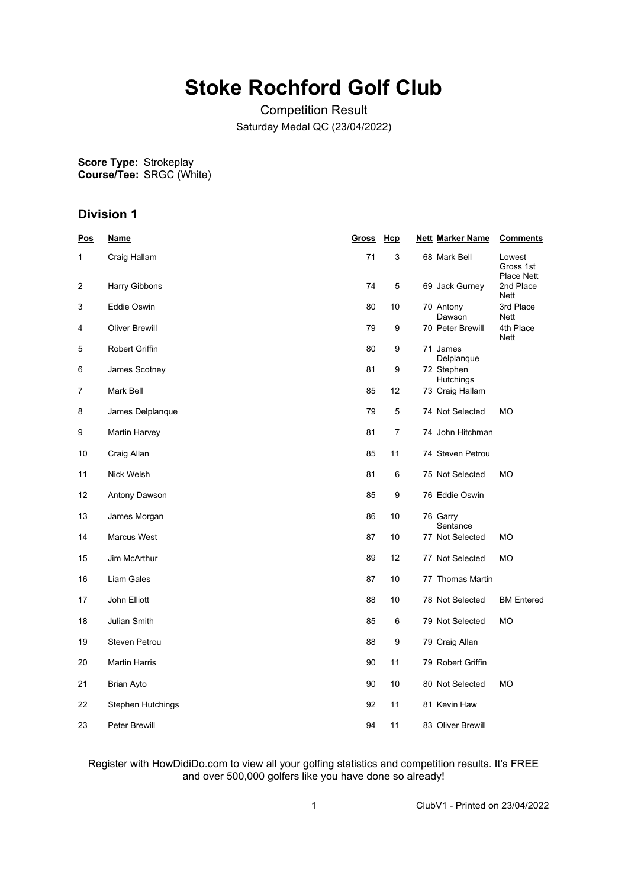# **Stoke Rochford Golf Club**

Competition Result Saturday Medal QC (23/04/2022)

**Score Type: Course/Tee:** Strokeplay SRGC (White)

# **Division 1**

| <b>Pos</b> | <u>Name</u>           | <u>Gross</u> | <b>Hcp</b> | <b>Nett Marker Name</b>        | <b>Comments</b>                          |
|------------|-----------------------|--------------|------------|--------------------------------|------------------------------------------|
| 1          | Craig Hallam          | 71           | 3          | 68 Mark Bell                   | Lowest<br>Gross 1st<br><b>Place Nett</b> |
| 2          | Harry Gibbons         | 74           | 5          | 69 Jack Gurney                 | 2nd Place<br><b>Nett</b>                 |
| 3          | Eddie Oswin           | 80           | 10         | 70 Antony<br>Dawson            | 3rd Place<br><b>Nett</b>                 |
| 4          | <b>Oliver Brewill</b> | 79           | 9          | 70 Peter Brewill               | 4th Place<br>Nett                        |
| 5          | Robert Griffin        | 80           | 9          | 71 James<br>Delplanque         |                                          |
| 6          | James Scotney         | 81           | 9          | 72 Stephen<br><b>Hutchings</b> |                                          |
| 7          | Mark Bell             | 85           | 12         | 73 Craig Hallam                |                                          |
| 8          | James Delplanque      | 79           | 5          | 74 Not Selected                | <b>MO</b>                                |
| 9          | Martin Harvey         | 81           | 7          | 74 John Hitchman               |                                          |
| 10         | Craig Allan           | 85           | 11         | 74 Steven Petrou               |                                          |
| 11         | Nick Welsh            | 81           | 6          | 75 Not Selected                | <b>MO</b>                                |
| 12         | Antony Dawson         | 85           | 9          | 76 Eddie Oswin                 |                                          |
| 13         | James Morgan          | 86           | 10         | 76 Garry<br>Sentance           |                                          |
| 14         | Marcus West           | 87           | 10         | 77 Not Selected                | МO                                       |
| 15         | Jim McArthur          | 89           | 12         | 77 Not Selected                | <b>MO</b>                                |
| 16         | Liam Gales            | 87           | 10         | 77 Thomas Martin               |                                          |
| 17         | John Elliott          | 88           | 10         | 78 Not Selected                | <b>BM</b> Entered                        |
| 18         | Julian Smith          | 85           | 6          | 79 Not Selected                | МO                                       |
| 19         | Steven Petrou         | 88           | 9          | 79 Craig Allan                 |                                          |
| 20         | Martin Harris         | 90           | 11         | 79 Robert Griffin              |                                          |
| 21         | Brian Ayto            | 90           | 10         | 80 Not Selected                | <b>MO</b>                                |
| 22         | Stephen Hutchings     | 92           | 11         | 81 Kevin Haw                   |                                          |
| 23         | Peter Brewill         | 94           | 11         | 83 Oliver Brewill              |                                          |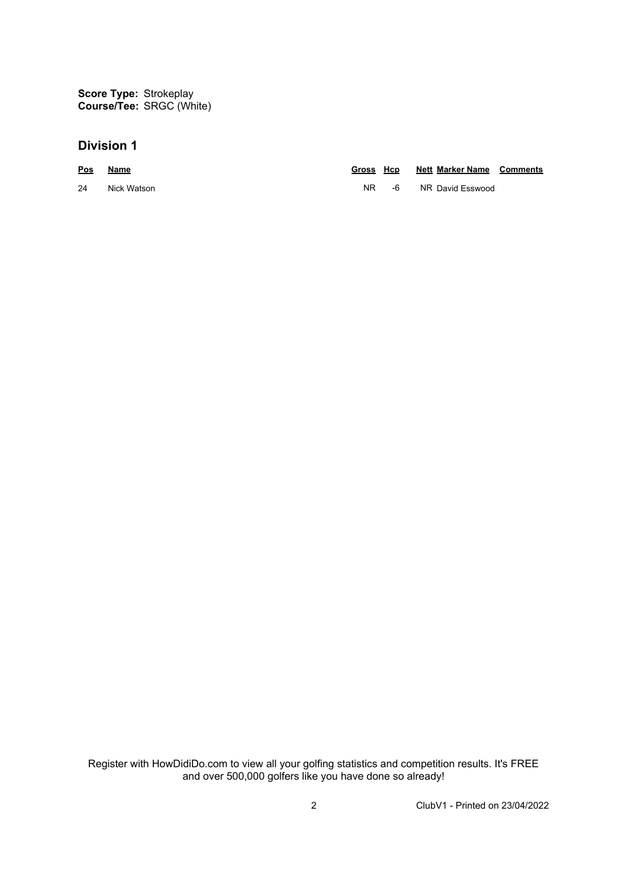**Score Type: Course/Tee:** Strokeplay SRGC (White)

## **Division 1**

| Pos | Name        | Gross Hcp |      | <b>Nett Marker Name Comments</b> |  |
|-----|-------------|-----------|------|----------------------------------|--|
| 24  | Nick Watson | NR I      | -6 - | NR David Esswood                 |  |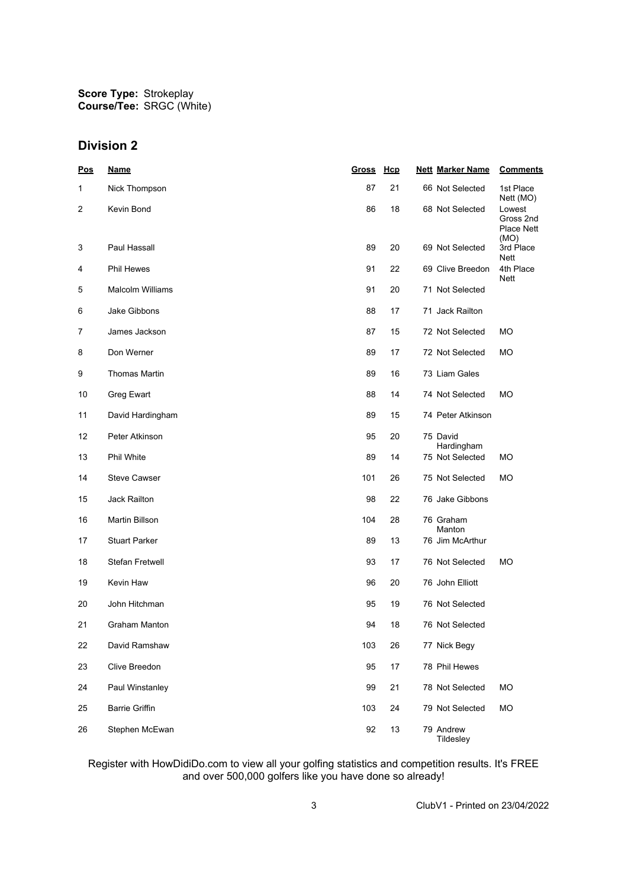**Score Type: Course/Tee:** Strokeplay SRGC (White)

# **Division 2**

| <u>Pos</u>     | <b>Name</b>             | <b>Gross</b> | Hcp | <b>Nett Marker Name</b>  | <b>Comments</b>                          |
|----------------|-------------------------|--------------|-----|--------------------------|------------------------------------------|
| 1              | Nick Thompson           | 87           | 21  | 66 Not Selected          | 1st Place<br>Nett (MO)                   |
| $\overline{c}$ | Kevin Bond              | 86           | 18  | 68 Not Selected<br>(MO)  | Lowest<br>Gross 2nd<br><b>Place Nett</b> |
| 3              | Paul Hassall            | 89           | 20  | 69 Not Selected<br>Nett  | 3rd Place                                |
| 4              | <b>Phil Hewes</b>       | 91           | 22  | 69 Clive Breedon<br>Nett | 4th Place                                |
| 5              | <b>Malcolm Williams</b> | 91           | 20  | 71 Not Selected          |                                          |
| 6              | Jake Gibbons            | 88           | 17  | 71 Jack Railton          |                                          |
| 7              | James Jackson           | 87           | 15  | 72 Not Selected<br>МO    |                                          |
| 8              | Don Werner              | 89           | 17  | 72 Not Selected<br>МO    |                                          |
| 9              | <b>Thomas Martin</b>    | 89           | 16  | 73 Liam Gales            |                                          |
| 10             | Greg Ewart              | 88           | 14  | 74 Not Selected<br>МO    |                                          |
| 11             | David Hardingham        | 89           | 15  | 74 Peter Atkinson        |                                          |
| 12             | Peter Atkinson          | 95           | 20  | 75 David<br>Hardingham   |                                          |
| 13             | Phil White              | 89           | 14  | 75 Not Selected<br>МO    |                                          |
| 14             | <b>Steve Cawser</b>     | 101          | 26  | 75 Not Selected<br>МO    |                                          |
| 15             | <b>Jack Railton</b>     | 98           | 22  | 76 Jake Gibbons          |                                          |
| 16             | <b>Martin Billson</b>   | 104          | 28  | 76 Graham<br>Manton      |                                          |
| 17             | <b>Stuart Parker</b>    | 89           | 13  | 76 Jim McArthur          |                                          |
| 18             | <b>Stefan Fretwell</b>  | 93           | 17  | 76 Not Selected<br>МO    |                                          |
| 19             | Kevin Haw               | 96           | 20  | 76 John Elliott          |                                          |
| 20             | John Hitchman           | 95           | 19  | 76 Not Selected          |                                          |
| 21             | <b>Graham Manton</b>    | 94           | 18  | 76 Not Selected          |                                          |
| 22             | David Ramshaw           | 103          | 26  | 77 Nick Begy             |                                          |
| 23             | Clive Breedon           | 95           | 17  | 78 Phil Hewes            |                                          |
| 24             | Paul Winstanley         | 99           | 21  | 78 Not Selected<br>MO    |                                          |
| 25             | <b>Barrie Griffin</b>   | 103          | 24  | 79 Not Selected<br>MO    |                                          |
| 26             | Stephen McEwan          | 92           | 13  | 79 Andrew<br>Tildesley   |                                          |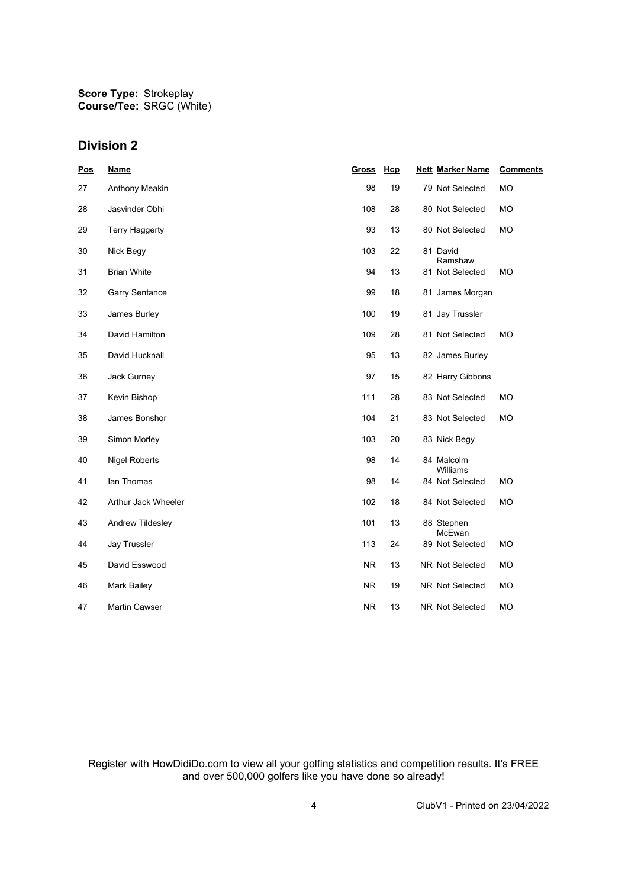**Score Type: Course/Tee:** Strokeplay SRGC (White)

## **Division 2**

| <b>Pos</b> | <b>Name</b>           | Gross     | Hcp | <b>Nett Marker Name</b> | <b>Comments</b> |
|------------|-----------------------|-----------|-----|-------------------------|-----------------|
| 27         | Anthony Meakin        | 98        | 19  | 79 Not Selected         | <b>MO</b>       |
| 28         | Jasvinder Obhi        | 108       | 28  | 80 Not Selected         | <b>MO</b>       |
| 29         | <b>Terry Haggerty</b> | 93        | 13  | 80 Not Selected         | <b>MO</b>       |
| 30         | Nick Begy             | 103       | 22  | 81 David<br>Ramshaw     |                 |
| 31         | <b>Brian White</b>    | 94        | 13  | 81 Not Selected         | <b>MO</b>       |
| 32         | <b>Garry Sentance</b> | 99        | 18  | 81 James Morgan         |                 |
| 33         | James Burley          | 100       | 19  | 81 Jay Trussler         |                 |
| 34         | David Hamilton        | 109       | 28  | 81 Not Selected         | <b>MO</b>       |
| 35         | David Hucknall        | 95        | 13  | 82 James Burley         |                 |
| 36         | Jack Gurney           | 97        | 15  | 82 Harry Gibbons        |                 |
| 37         | Kevin Bishop          | 111       | 28  | 83 Not Selected         | <b>MO</b>       |
| 38         | James Bonshor         | 104       | 21  | 83 Not Selected         | <b>MO</b>       |
| 39         | Simon Morley          | 103       | 20  | 83 Nick Begy            |                 |
| 40         | <b>Nigel Roberts</b>  | 98        | 14  | 84 Malcolm<br>Williams  |                 |
| 41         | lan Thomas            | 98        | 14  | 84 Not Selected         | <b>MO</b>       |
| 42         | Arthur Jack Wheeler   | 102       | 18  | 84 Not Selected         | <b>MO</b>       |
| 43         | Andrew Tildesley      | 101       | 13  | 88 Stephen<br>McEwan    |                 |
| 44         | Jay Trussler          | 113       | 24  | 89 Not Selected         | <b>MO</b>       |
| 45         | David Esswood         | <b>NR</b> | 13  | NR Not Selected         | <b>MO</b>       |
| 46         | <b>Mark Bailey</b>    | <b>NR</b> | 19  | NR Not Selected         | <b>MO</b>       |
| 47         | <b>Martin Cawser</b>  | NR.       | 13  | NR Not Selected         | <b>MO</b>       |